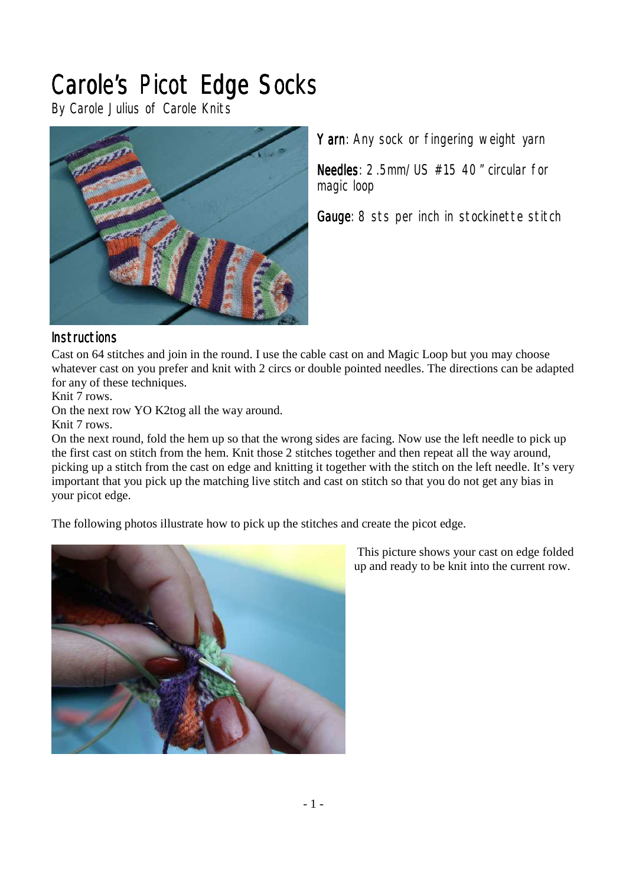# *Carole's Picot Edge Socks*

*By Carole Julius of Carole Knits* 



*Yarn: Any sock or fingering weight yarn* 

*Needles: 2.5mm/US #15 40" circular for magic loop* 

Gauge: 8 sts per inch in stockinette stitch

## *Instructions nstructions*

Cast on 64 stitches and join in the round. I use the cable cast on and Magic Loop but you may choose whatever cast on you prefer and knit with 2 circs or double pointed needles. The directions can be adapted for any of these techniques.

Knit 7 rows.

On the next row YO K2tog all the way around.

Knit 7 rows.

On the next round, fold the hem up so that the wrong sides are facing. Now use the left needle to pick up the first cast on stitch from the hem. Knit those 2 stitches together and then repeat all the way around, picking up a stitch from the cast on edge and knitting it together with the stitch on the left needle. It's very important that you pick up the matching live stitch and cast on stitch so that you do not get any bias in your picot edge.

The following photos illustrate how to pick up the stitches and create the picot edge.



 This picture shows your cast on edge folded up and ready to be knit into the current row.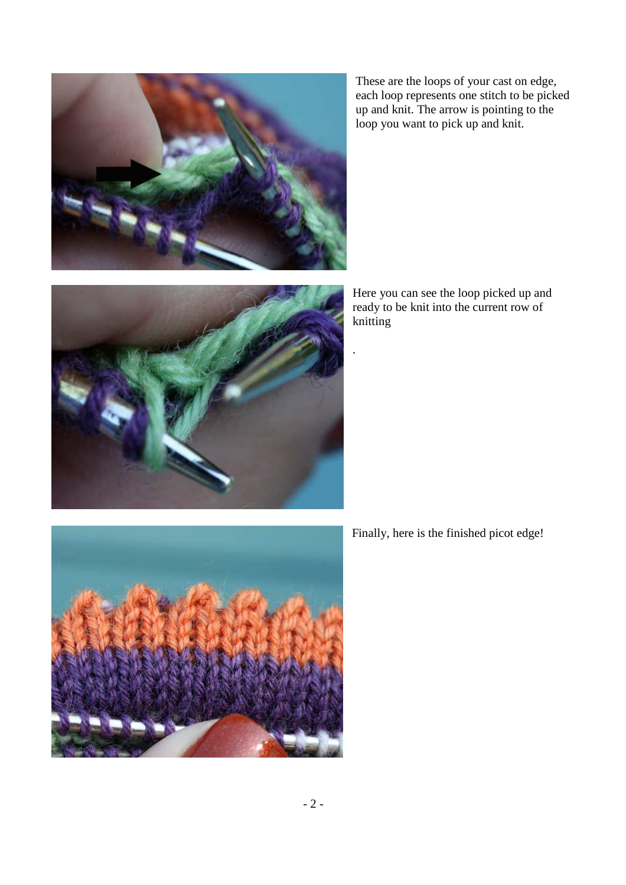

These are the loops of your cast on edge, each loop represents one stitch to be picked up and knit. The arrow is pointing to the loop you want to pick up and knit.

Here you can see the loop picked up and ready to be knit into the current row of knitting

.



Finally, here is the finished picot edge!